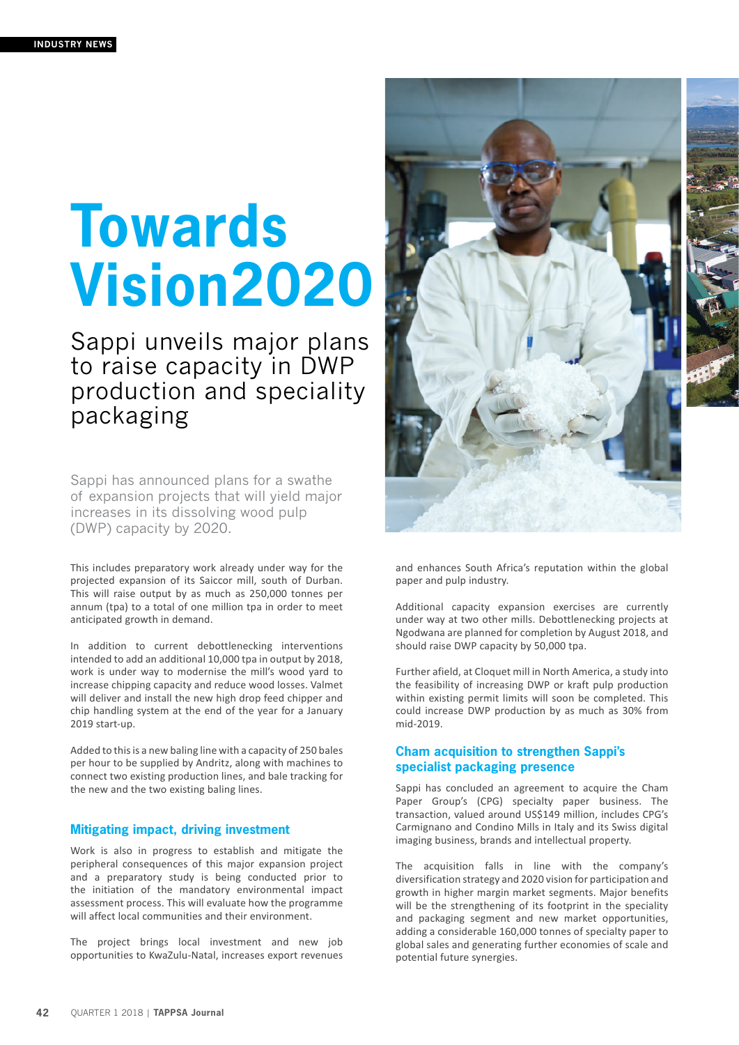## **Towards Vision2020**

Sappi unveils major plans to raise capacity in DWP production and speciality packaging

Sappi has announced plans for a swathe of expansion projects that will yield major increases in its dissolving wood pulp (DWP) capacity by 2020.

This includes preparatory work already under way for the projected expansion of its Saiccor mill, south of Durban. This will raise output by as much as 250,000 tonnes per annum (tpa) to a total of one million tpa in order to meet anticipated growth in demand.

In addition to current debottlenecking interventions intended to add an additional 10,000 tpa in output by 2018, work is under way to modernise the mill's wood yard to increase chipping capacity and reduce wood losses. Valmet will deliver and install the new high drop feed chipper and chip handling system at the end of the year for a January 2019 start-up.

Added to this is a new baling line with a capacity of 250 bales per hour to be supplied by Andritz, along with machines to connect two existing production lines, and bale tracking for the new and the two existing baling lines.

## **Mitigating impact, driving investment**

Work is also in progress to establish and mitigate the peripheral consequences of this major expansion project and a preparatory study is being conducted prior to the initiation of the mandatory environmental impact assessment process. This will evaluate how the programme will affect local communities and their environment.

The project brings local investment and new job opportunities to KwaZulu-Natal, increases export revenues



and enhances South Africa's reputation within the global paper and pulp industry.

Additional capacity expansion exercises are currently under way at two other mills. Debottlenecking projects at Ngodwana are planned for completion by August 2018, and should raise DWP capacity by 50,000 tpa.

Further afield, at Cloquet mill in North America, a study into the feasibility of increasing DWP or kraft pulp production within existing permit limits will soon be completed. This could increase DWP production by as much as 30% from mid-2019.

## **Cham acquisition to strengthen Sappi's specialist packaging presence**

Sappi has concluded an agreement to acquire the Cham Paper Group's (CPG) specialty paper business. The transaction, valued around US\$149 million, includes CPG's Carmignano and Condino Mills in Italy and its Swiss digital imaging business, brands and intellectual property.

The acquisition falls in line with the company's diversification strategy and 2020 vision for participation and growth in higher margin market segments. Major benefits will be the strengthening of its footprint in the speciality and packaging segment and new market opportunities, adding a considerable 160,000 tonnes of specialty paper to global sales and generating further economies of scale and potential future synergies.